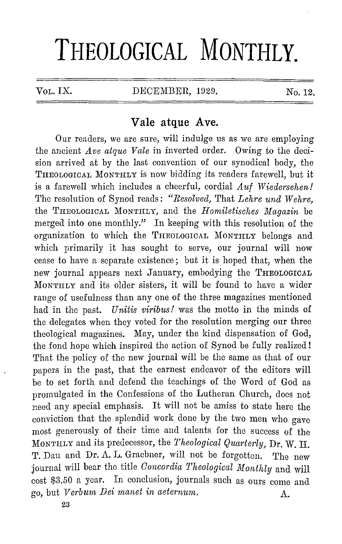# **THEOLOGICAL MONTHLY.**

# $V_{\text{OL}}$ , IX. DECEMBER, 1929. No. 12.

# **Vale atque Ave.**

Our readers, we are sure, will indulge us as we are employing the ancient *Ave atque Vale* in inverted order. Owing to the decision arrived at by the last convention of our synodical body, the THEOLOGICAL MONTHLY is now bidding its readers farewell, but it is a farewell which includes a cheerful, cordial *Auf Wiedersehen!*  'l'hc resolution of Synod reads: *"Resolved,* That *Lehre und Wehre,*  the THEOLOGICAL MONTHLY, and the *Homiletisches Magazin* be merged into one monthly." In keeping with this resolution of the organization to which the THEOLOGICAL MONTHLY belongs and which primarily it has sought to serve, our journal will now cease to have a separate existence; but it is hoped that, when the new journal appears next January, embodying the THEOLOGICAL MONTHLY and its older sisters, it will be found to have a wider range of usefulness than any one of the three magazines mentioned had in the past. *Unitis viribus !* was the motto in the minds of the delegates when they voted for the resolution merging our three theological magazines. May, under the kind dispensation of God, the fond hope which inspired the action of Synod be fully realized! That the policy of the new journal will be the same as that of our papers in the past, that the earnest endeavor of the editors will be to set forth and defend the teachings of the Word of God as promulgated in the Confessions of the Lutheran Church, docs not need any special emphasis. It will not be amiss to state here the conviction that the splendid work done by the two men who gave most generously of their time and talents for the success of the l\foNTIILY and its predecessor, the *'l'heological Quarterly,* Dr. W. H. T. Dau and Dr. A. L. Graebner, will not be forgotten. The new journal will bear the title *Concordia 'l'heological Monthly* and will cost \$3.50 a year. In conclusion, journals such as ours come and go, but *Verbum Dei manet in aeternum*.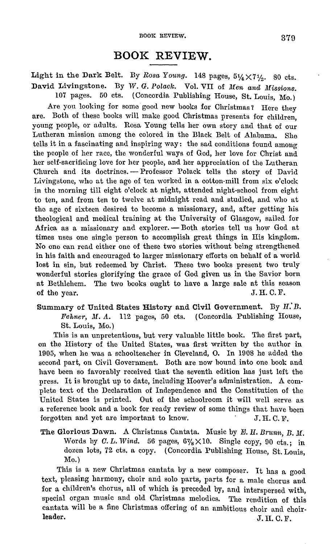# **BOOK REVIEW.**

Light in the Dark Belt. By Rosa Young. 148 pages,  $5\frac{1}{4} \times 7\frac{1}{2}$ . 80 cts. David Livingstone. By W. G. Polack. Vol. VII of Men and Missions. 107 pages. 50 cts. ( Concordia Publishing House, St. Louis, Mo.)

Are you looking for some good new books for Christmas? Here they are. Both of these books will make good Christmas presents for children, young people, or adults. Rosa Young tells her own story and that of our Lutheran mission among the colored in the Black Belt of Alabama. She tells it in a fascinating and inspiring way: the sad conditions found among the people of her race, the wonderful ways of God, her love for Christ and her self-sacrificing love for her people, and her appreciation of the Lutheran Church and its doctrines. - Professor Polack tells the story of David Livingstone, who at the age of ten worked in a cotton-mill from six o'clock in the morning till eight o'clock at night, attended night-school from eight to ten, and from ten to twelve at midnight read and studied, and who at the age of sixteen desired to become a missionary, and, after getting his theological and medical training at the University of Glasgow, sailed for Africa as a missionary and explorer. - Both stories tell us how God at times uses one single person to accomplish great things in His kingdom. No one can read either one of these two stories without being strengthened in his faith and encouraged to larger missionary efforts on behalf of a world lost in sin, but redeemed by Christ. These two books present two truly wonderful stories glorifying the grace of God given us in the Savior born at Bethlehem. The two books ought to have a large sale at this season of the year.  $J.H.C.F.$ of the year.

Summary of United States History and Civil Government. By H.B. Fehner, M.A. 112 pages, 50 cts. (Concordia Publishing House, St. Louis, Mo.)

This is an unpretentious, but very valuable little book. The first part, on the History of the United States, was first written by the author in 11)05, when he was a schoolteacher in Cleveland, O. In 1908 he added the second part, on Civil Government. Both are now bound into one book and have been so favorably received that the seventh edition has just left the press. It is brought up to date, including Hoover's administration. A complete text of the Declaration of Independence and the Constitution of the United States is printed. Out of the schoolroom it will well serve as a reference book and a book for ready review of some things that have been forgotten and yet are important to know.  $J.H.C.F.$ forgotten and yet are important to know.

The Glorious Dawn. A Christmas Cantata. Music by *E. H. Brunn*, *B. M.* Words by *C. L. Wind.* 56 pages,  $6\% \times 10$ . Single copy, 90 cts.; in dozen lots, 72 cts. a copy. ( Concordia Publishing House, St. Louis, Mo.)

This is a new Christmas cantata by a new composer. It has a good text, pleasing harmony, choir and solo parts, parts for a male chorus and for a children's chorus, all of which is preceded by, and interspersed with, special organ music and old Christmas melodies. The rendition of this cantata will be a fine Christmas offering of an ambitious choir and choir. **leader.** J. H. C. F.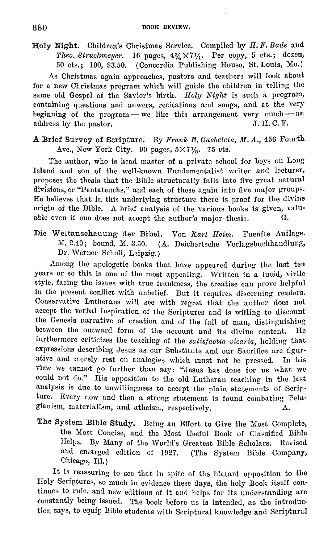Holy Night. Children's Christmas Service. Compiled by JI. *F. Bade* and 16 pages,  $4\frac{3}{4}\times7\frac{1}{4}$ . Per copy, 5 cts.; dozen, 50 cts.; 100, \$3.50. ( Concordia Publishing House, St. Louis, Mo.) As Christmas again approaches, pastors and teachers will look about for a new Christmas program which will guide the children in telling the same old Gospel of the Savior's birth. *Holy Night* is such a program, containing questions and anwcrs, recitations and songs, and at the very beginning of the program - we like this arrangement very much - an address by the pastor  $\overline{J}$ . H. C. F. address by the pastor.

## A Brief Survey of Scripture. By Frank E. Gaebelein, M. A., 456 Fourth Ave., New York City. 90 pages,  $5\times7\frac{1}{6}$ . 75 cts.

The author, who is head master of a private school for boys on Long Island and son of the well-known Fundamentalist writer and lecturer, proposes the thesis that the Bible structurally falls into five great natural divisions, or "Pentateuchs," and each of these again into five major groups. He believes that in this underlying structure there is proof for the divine origin of the Bible. A brief analysis of the various books is given, valuable even if one does not accept the author's major thesis. G.

Die Weltanschauung der Bibel. Von Karl Heim. Fuenfte Auflage. M. 2.40; bound, M. 3.50. (A. Deichertsche Verlagsbuchhandlung, Dr. Werner Scholl, Leipzig.)

Among the apologetic books that have appeared during the last ten years or so this is one of the most appealing. Written in a lucid, virile style, facing the issues with true frankness, the treatise can prove helpful in the present conflict with unbelief. But it requires discerning readers. Conservative Lutherans will see with regret that the author does not accept the verbal inspiration of the Scriptures and is willing to discount the Genesis narrative of creation and of the fall of man, distinguishing between the outward form of the account and its divine content. He furthermore criticizes the teaching of the *satisfactio vicaria,* holding that expressions describing Jesus as our Substitute and our Sacrifice are figurative and merely rest on analogies which must not be pressed. In his view we cannot go further than say: "Jesus has done for us what we could not do." His opposition to the old Lutheran teaching in the last analysis is due to unwillingness to accept the plain statements of Scripture. Every now and then a strong statement is found combating Pelagiauism, materialism, and atheism, respectively. A.

The System Bible Study. Being an Effort to Give the Most Complete, the Most Concise, and the Most Useful Book of Classified Bible Helps. By Many of the World's Greatest Bible Scholars. Revised and enlarged edition of 1927. (The System Bible Company, Chicago, III.)

It is reassuring to sec that in spite of the blatant opposition to the Holy Scriptures, so much in evidence these days, the holy Book itself continues to rule, and new editions of it and helps for its understanding arc constantly being issued. The book before us is intended, as the introduction says, to equip Bible students with Scriptural knowledge and Scriptural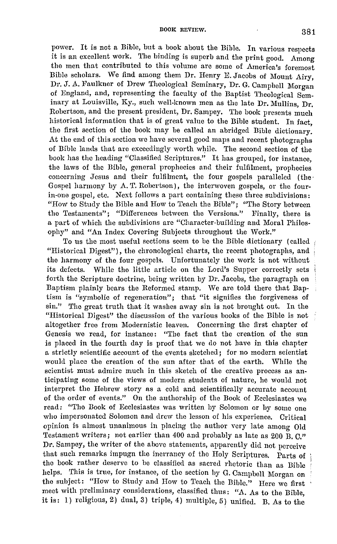power. It is not a Bible, but a book about the Bible. In various respects it is an excellent work. The binding is superb and the print good. Among the men that contributed to this volume arc some of America's foremost Bible scholars. We find among them Dr. Henry E. Jacobs of Mount Airy, Dr. J. A. Faulkner of Drew Theological Seminary, Dr. G. Campbell Morgan of England, and, representing the faculty of the Baptist Theological Seminary at Louisville, Ky., such well-known men as the late Dr. Mullins, Dr. Robertson, and the present president, Dr. Sampey. The book presents much historical information that is of great value to the Dible student. In fact, tho first section of the book may be called an abridged Dible dictionary. At the end of this section we have several good maps and recent photographs of Dible lands that are exceedingly worth while. The second section of the book has the heading "Classified Scriptures." It has grouped, for instance, the laws of the Dible, general prophecies and their fulfilment, prophecies concerning Jesus and their fulfilment, the four gospels paralleled (the Gospel harmony by A. T. Robertson), the interwoven gospels, or the fourin-one gospel, etc. Next follows a part containing these three subdivisions: "How to Study the Dible and How to Teach the Bible"; "The Story between tho Testaments"; "Differences between the Versions." Finally, there is a part of which the subdivisions are "Character-building and Moral Philosophy" and "An Index Covering Subjects throughout the Work."

To us the most useful sections seem to be the Bible dictionary (called) "Historical Digest"), the chronological charts, the recent photographs, and the harmony of the four gospels. Unfortunately the work is not without its defects. While the little article on the Lord's Supper correctly sets forth the Scripture doctrine, being written by Dr. Jacobs, the paragraph on Baptism plainly bears the Reformed stamp. We are told there that Baptism is "symbolic of regeneration"; that "it signifies the forgiveness of sin." 'fho great truth that it washes away sin is not brought out. In the "Historical Digest" the discussion of the various books of the Dible is not altogether free from Modernistic leaven. Concerning the first chapter of Genesis we read, for instance: "The fact that the creation of the sun is placed in the fourth day is proof that we do not have in this chapter a strictly scientific account of the events sketched; for no modern scientist would place the creation of the sun after that of the earth. While the scientist must admire much in this sketch of the creative process as anticipating some of the views of modern students of nature, he would not interpret the Hebrew story as a cold and scientifically accurate account of the order of events." On the authorship of the Book of Ecclesiastes we read: "Tho Book of Ecclesiastes was written by Solomon or by some one who impersonated Solomon and drew the lesson of his experience. Critical opinion is almost unanimous in placing the author very late among Old Testament writers; not earlier than 400 and probably as late as 200 B.C." Dr. Sampey, the writer of the above statements, apparently did not perceive that such remarks impugn the inerrancy of the Holy Scriptures. Parts of tho book rather deserve to be classified as sacred rhetoric than as Dible helps. This is true, for instance, of the section by G. Campbell Morgan on the subject: "How to Study and How to Teach the Bible." Here we first meet with preliminary considerations, classified thus: "A. As to the Dible, it is: 1) religious, 2) dual, 3) triple, 4) multiple, 5) unified. B. As to the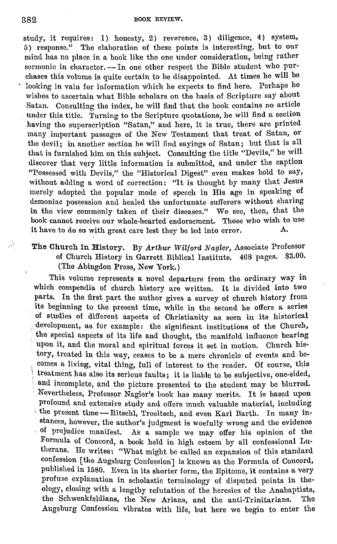#### 382 BOOK REVIEW.

study, it requires: 1) honesty, 2) reverence, 3) diligence, 4) system, 5) response." The elaboration of these points is interesting, but to our mind has no place in a book like the one under consideration, being rather sermonic in character. - In one other respect the Bible student who purchases this volume is quite certain to be disappointed. At times he will be looking in vain for information which he expects to find here. Perhaps he wishes to ascertain what Bible scholars on the basis of Scripture say about Satan. Consulting the index, he will find that the book contains no article under this title. Turning to the Scripture quotations, he will find a section having the superscription "Satan," and here, it is true, there are printed many important passages of the New Testament that treat of Satan, or tho devil; in another section he will find sayings of Satan; but that is all that is furnished him on this subject. Consulting the title "Devils," he will discover that very little information is submitted, and under the caption "Possessed with Devils," the "Historical Digest" even makes bold to say, without adding a word of correction: "It is thought by many that Jesus merely adopted the popular mode of speech in His age in speaking of demoniac possession and healed the unfortunate sufferers without sharing in the view commonly taken of their diseases." We see, then, that the book cannot receive our whole-hearted endorsement. Those who wish to use<br>it have to do so with great care lest they be led into error. A. it have to do so with great care lest they be led into error.

The Church in History. By Arthur Wilford Nagler, Associate Professor<br>of Church History in Garrett Biblical Institute 468 pages. \$3.00. of Church History in Garrett Biblical Institute. 468 pages. (The Abingdon Press, New York.)

This volume represents a novel departure from the ordinary way in which compendia of church history are written. It is divided into two parts. In the first part the author gives a survey of church history from its beginning to the present time, while in the second he offers a series of studies of different aspects of Christianity as seen in its historical development, as for example: the significant institutions of the Church, the special aspects of its life and thought, the manifold influence bearing upon it, and the moral and spiritual forces it set in motion. Church history, treated in this way, ceases to be a mere chronicle of events and becomes a living, vital thing, full of interest to the reader. Of course, this treatment has also its serious faults; it is liable to be subjective, one-sided, and incomplete, and the picture presented to the student may be blurred. Nevertheless, Professor Nagler's book has many merits. It is based upon profound and extensive study and offers much valuable material, including the present time - Ritschl, Troeltsch, and even Karl Barth. In many instances, however, the author's judgment is woefully wrong and the evidence of prejudice manifest. As a sample we may offer his opinion of the Formula of Concord, a book held in high esteem by all confessional Lutherans. Ho writes: "What might be called an expansion of this standard confession [the Augsburg Confession] is known as the Formula of Concord, published in 1580. Even in its shorter form, the Epitome, it contains a very profuse explanation in scholastic terminology of disputed points in theology, closing with a lengthy refutation of the heresies of the Anabaptists, tho Schwenkfeldians, the New Arians, and the anti-Trinitarians. The Augsburg Confession vibrates with life, but here we begin to enter the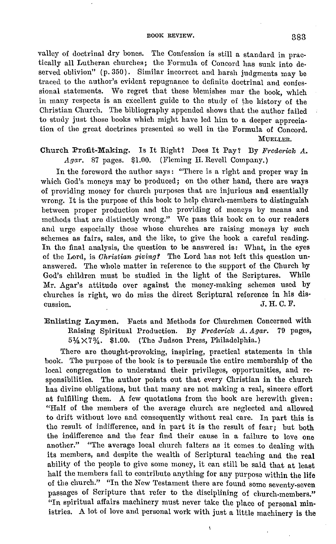#### BOOK REVIEW, 383

valley of doctrinal dry bones. The Confession is still a standard in practically all Lutheran churches; the Formula of Concord has sunk into deserved oblivion" (p. 350). Similar incorrect and harsh judgments may be traced to the author's evident repugnance to definite doctrinal and confessional statements. We regret that these blemishes mar the book, which in many respects is an excellent guide to the study of the history of the Christian Church. The bibliography appended shows that the author failed to study just those books which might have led him to a deeper appreciation of the great doctrines presented so well in the Formula of Concord. MUELLER.

## Church Profit-Making. Is It Right? Does It Pay? Dy *Frederick A. ,tgar.* 87 pages. \$1.00. (Fleming H. Revell Company.)

In the foreword the author says: "There is a right and proper way in which God's moneys may be produced; on the other hand, there are ways of providing money for church purposes that are injurious and essentially wrong. It is the purpose of this book to help church-members to distinguish between proper production and the providing of moneys by means and methods that are distinctly wrong." We pass this book on to our readers and urge especially those whose churches are raising moneys by such schemes as fairs, sales, and the like, to give the book a careful reading. In the final analysis, the question to be answered is: What, in the eyes of tho Lord, is *Christian giving?* The Lord has not left this question unanswered. The whole matter in reference to the support of the Church by God's children must be studied in the light of the Scriptures. While Mr. Agar's attitude over against the money-making schemes used by churches is right, we do miss the direct Scriptural reference in his dis-cussion.  $J. H. C. F.$ J. H. C. F.

## Enlisting Laymen. Facts and Methods for Churchmen Concerned with Raising Spiritual Production. By *Fredericlo A. Agar.* 79 pages,  $5\frac{1}{4} \times 7\%$ , \$1.00. (The Judson Press, Philadelphia.)

There are thought-provoking, inspiring, practical statements in this book. The purpose of the book is to persuade the entire membership of the local congregation to understand their privileges, opportunities, and responsibilities. The author points out that every Christian in the church has divine obligations, but that many are not making a real, sincere effort at fulfilling them. A few quotations from the book are herewith given: "Half of the members of the average church are neglected and allowed to drift without love and consequently without real care. In part this is tho result of indifference, and in part it is the result of fear; but both the indifference and the fear find their cause in a failure to love one another." "The average local church falters as it comes to dealing with its members, and despite the wealth of Scriptural teaching and the real ability of the people to give some money, it can still be said that at least half the members fail to contribute anything for any purpose within the life of the church." "In the New Testament there are found some seventy-seven passages of Scripture that refer to the disciplining of church-members." "In spiritual affairs machinery must never take the place of personal ministries. A lot of love and personal work with just a little machinery is the